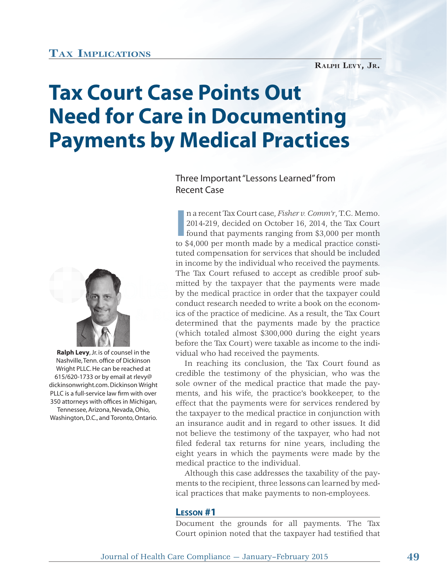## **TAX IMPLICATIONS**

# **Tax Court Case Points Out Need for Care in Documenting Payments by Medical Practices**

## Three Important "Lessons Learned" from Recent Case



**Ralph Levy**, Jr. is of counsel in the Nashville, Tenn. office of Dickinson Wright PLLC. He can be reached at 615/620-1733 or by email at rlevy@ dickinsonwright.com. Dickinson Wright PLLC is a full-service law firm with over 350 attorneys with offices in Michigan, Tennessee, Arizona, Nevada, Ohio, Washington, D.C., and Toronto, Ontario.

**I** n a recent Tax Court case, *Fisher v. Comm'r*, T.C. Memo. 2014-219, decided on October 16, 2014, the Tax Court found that payments ranging from \$3,000 per month to \$4,000 per month made by a medical practice constituted compensation for services that should be included in income by the individual who received the payments. The Tax Court refused to accept as credible proof submitted by the taxpayer that the payments were made mitt d by t he ta axpaye r th at by the medical practice in order that the taxpayer could conduct research needed to write a book on the economics of the practice of medicine. As a result, the Tax Court determined that the payments made by the practice d (which totaled almost \$300,000 during the eight years before the Tax Court) were taxable as income to the individual who had received the payments.

In reaching its conclusion, the Tax Court found as credible the testimony of the physician, who was the sole owner of the medical practice that made the payments, and his wife, the practice's bookkeeper, to the effect that the payments were for services rendered by the taxpayer to the medical practice in conjunction with an insurance audit and in regard to other issues. It did not believe the testimony of the taxpayer, who had not filed federal tax returns for nine years, including the eight years in which the payments were made by the medical practice to the individual.

Although this case addresses the taxability of the payments to the recipient, three lessons can learned by medical practices that make payments to non-employees.

#### **LESSON #1**

Document the grounds for all payments. The Tax Court opinion noted that the taxpayer had testified that